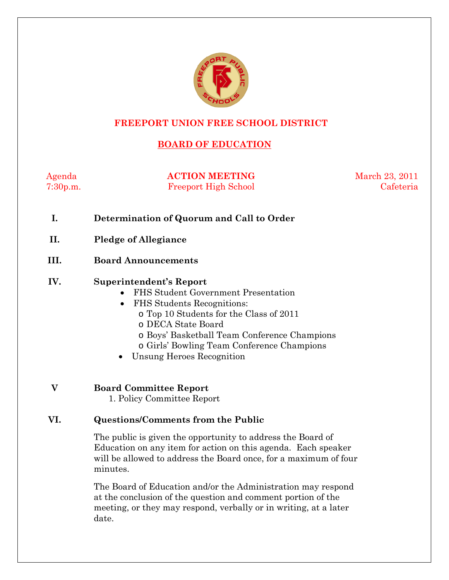

# **FREEPORT UNION FREE SCHOOL DISTRICT**

# **BOARD OF EDUCATION**

Agenda **ACTION MEETING** March 23, 2011 7:30p.m. Freeport High School Cafeteria

- **I. Determination of Quorum and Call to Order**
- **II. Pledge of Allegiance**
- **III. Board Announcements**

### **IV. Superintendent's Report**

- FHS Student Government Presentation
- FHS Students Recognitions:
	- o Top 10 Students for the Class of 2011
	- o DECA State Board
	- o Boys' Basketball Team Conference Champions
	- o Girls' Bowling Team Conference Champions
- Unsung Heroes Recognition

**V Board Committee Report** 

1. Policy Committee Report

### **VI. Questions/Comments from the Public**

The public is given the opportunity to address the Board of Education on any item for action on this agenda. Each speaker will be allowed to address the Board once, for a maximum of four minutes.

The Board of Education and/or the Administration may respond at the conclusion of the question and comment portion of the meeting, or they may respond, verbally or in writing, at a later date.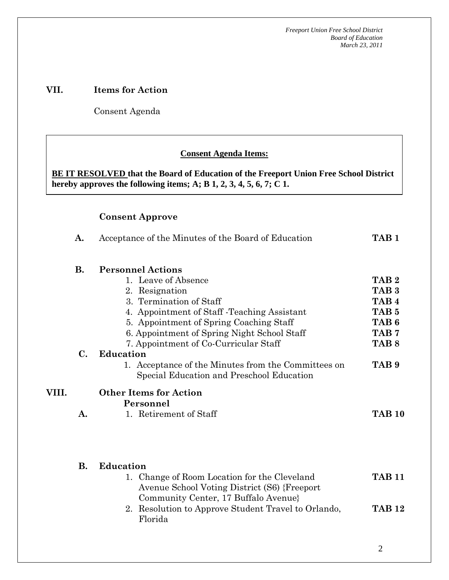*Freeport Union Free School District Board of Education March 23, 2011*

# **VII. Items for Action**

Consent Agenda

 **AA. Consent - Approve** 

### **Consent Agenda Items:**

**BE IT RESOLVED that the Board of Education of the Freeport Union Free School District hereby approves the following items; A; B 1, 2, 3, 4, 5, 6, 7; C 1.** 

# **Consent Approve**

 *Acceptance of the Minutes*  $\mathbf{A}$ 

|       | A.             | Acceptance of the Minutes of the Board of Education                                                                                  | TAB <sub>1</sub> |
|-------|----------------|--------------------------------------------------------------------------------------------------------------------------------------|------------------|
|       | <b>B.</b>      | <b>Personnel Actions</b>                                                                                                             |                  |
|       |                | 1. Leave of Absence                                                                                                                  | TAB <sub>2</sub> |
|       |                | 2. Resignation                                                                                                                       | TAB <sub>3</sub> |
|       |                | 3. Termination of Staff                                                                                                              | TAB <sub>4</sub> |
|       |                | 4. Appointment of Staff - Teaching Assistant                                                                                         | TAB <sub>5</sub> |
|       |                | 5. Appointment of Spring Coaching Staff                                                                                              | TAB <sub>6</sub> |
|       |                | 6. Appointment of Spring Night School Staff                                                                                          | TAB <sub>7</sub> |
|       |                | 7. Appointment of Co-Curricular Staff                                                                                                | TAB <sub>8</sub> |
|       | $\mathbf{C}$ . | <b>Education</b>                                                                                                                     |                  |
|       |                | 1. Acceptance of the Minutes from the Committees on<br>Special Education and Preschool Education                                     | TAB <sub>9</sub> |
| VIII. |                | <b>Other Items for Action</b>                                                                                                        |                  |
|       |                | Personnel                                                                                                                            |                  |
|       | A.             | 1. Retirement of Staff                                                                                                               | <b>TAB 10</b>    |
|       |                |                                                                                                                                      |                  |
|       | <b>B.</b>      | <b>Education</b>                                                                                                                     |                  |
|       |                | 1. Change of Room Location for the Cleveland<br>Avenue School Voting District (S6) {Freeport<br>Community Center, 17 Buffalo Avenue} | <b>TAB 11</b>    |
|       |                | 2. Resolution to Approve Student Travel to Orlando,<br>Florida                                                                       | <b>TAB 12</b>    |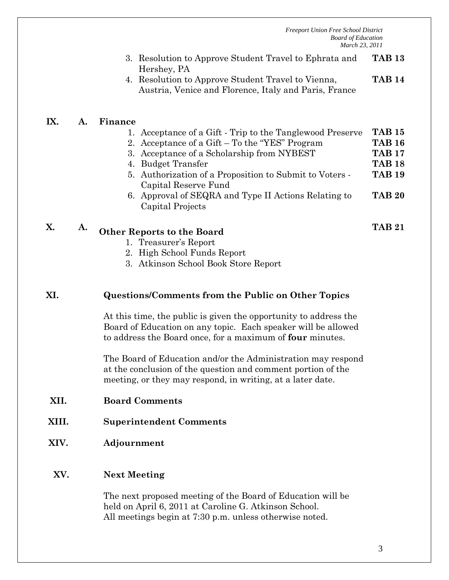*Freeport Union Free School District Board of Education March 23, 2011*

- 3. Resolution to Approve Student Travel to Ephrata and Hershey, PA **TAB 13**
- 4. Resolution to Approve Student Travel to Vienna, Austria, Venice and Florence, Italy and Paris, France **TAB 14**

## **IX. A. Finance**

|    |    | 1. Acceptance of a Gift - Trip to the Tanglewood Preserve                       | <b>TAB 15</b> |
|----|----|---------------------------------------------------------------------------------|---------------|
|    |    | 2. Acceptance of a Gift – To the "YES" Program                                  | <b>TAB 16</b> |
|    |    | 3. Acceptance of a Scholarship from NYBEST                                      | <b>TAB 17</b> |
|    |    | 4. Budget Transfer                                                              | <b>TAB 18</b> |
|    |    | 5. Authorization of a Proposition to Submit to Voters -<br>Capital Reserve Fund | <b>TAB 19</b> |
|    |    | 6. Approval of SEQRA and Type II Actions Relating to<br>Capital Projects        | <b>TAB 20</b> |
| X. | Α. | <b>Other Reports to the Board</b><br>Trogeurer's Report                         | <b>TAB 21</b> |

- 1. Treasurer's Report
- 2. High School Funds Report
- 3. Atkinson School Book Store Report

#### **XI. Questions/Comments from the Public on Other Topics**

At this time, the public is given the opportunity to address the Board of Education on any topic. Each speaker will be allowed to address the Board once, for a maximum of **four** minutes.

The Board of Education and/or the Administration may respond at the conclusion of the question and comment portion of the meeting, or they may respond, in writing, at a later date.

- **XII. Board Comments**
- **XIII. Superintendent Comments**
- **XIV. Adjournment**

#### **XV. Next Meeting**

The next proposed meeting of the Board of Education will be held on April 6, 2011 at Caroline G. Atkinson School. All meetings begin at 7:30 p.m. unless otherwise noted.